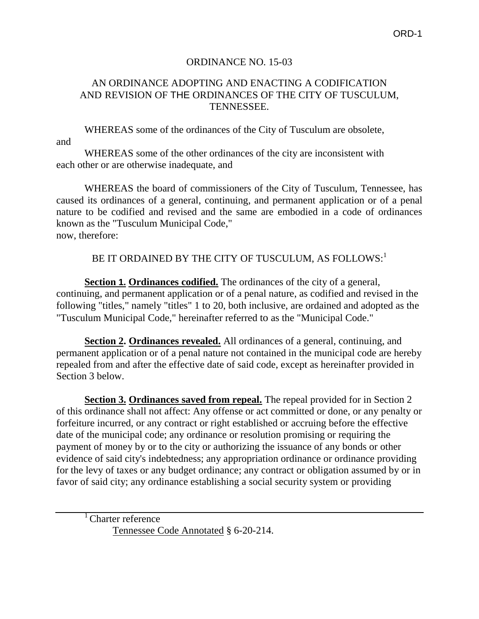## ORDINANCE NO. 15-03

## AN ORDINANCE ADOPTING AND ENACTING A CODIFICATION AND REVISION OF THE ORDINANCES OF THE CITY OF TUSCULUM, TENNESSEE.

WHEREAS some of the ordinances of the City of Tusculum are obsolete,

and

WHEREAS some of the other ordinances of the city are inconsistent with each other or are otherwise inadequate, and

WHEREAS the board of commissioners of the City of Tusculum, Tennessee, has caused its ordinances of a general, continuing, and permanent application or of a penal nature to be codified and revised and the same are embodied in a code of ordinances known as the "Tusculum Municipal Code," now, therefore:

BE IT ORDAINED BY THE CITY OF TUSCULUM, AS FOLLOWS:<sup>1</sup>

**Section 1. Ordinances codified.** The ordinances of the city of a general, continuing, and permanent application or of a penal nature, as codified and revised in the following "titles," namely "titles" 1 to 20, both inclusive, are ordained and adopted as the "Tusculum Municipal Code," hereinafter referred to as the "Municipal Code."

**Section 2. Ordinances revealed.** All ordinances of a general, continuing, and permanent application or of a penal nature not contained in the municipal code are hereby repealed from and after the effective date of said code, except as hereinafter provided in Section 3 below.

**Section 3. Ordinances saved from repeal.** The repeal provided for in Section 2 of this ordinance shall not affect: Any offense or act committed or done, or any penalty or forfeiture incurred, or any contract or right established or accruing before the effective date of the municipal code; any ordinance or resolution promising or requiring the payment of money by or to the city or authorizing the issuance of any bonds or other evidence of said city's indebtedness; any appropriation ordinance or ordinance providing for the levy of taxes or any budget ordinance; any contract or obligation assumed by or in favor of said city; any ordinance establishing a social security system or providing

<sup>1</sup> Charter reference Tennessee Code Annotated § 6-20-214.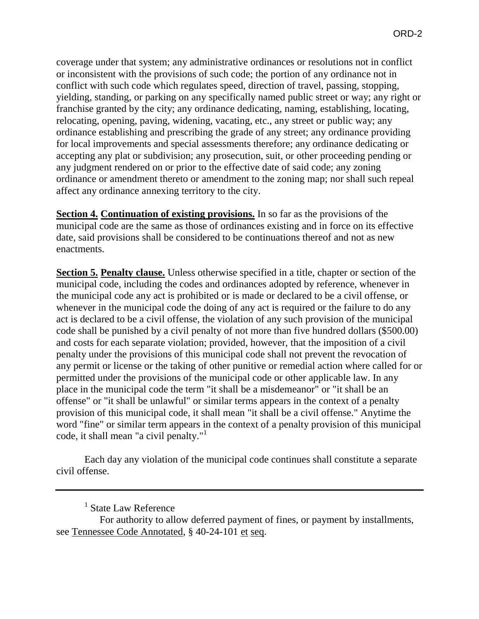coverage under that system; any administrative ordinances or resolutions not in conflict or inconsistent with the provisions of such code; the portion of any ordinance not in conflict with such code which regulates speed, direction of travel, passing, stopping, yielding, standing, or parking on any specifically named public street or way; any right or franchise granted by the city; any ordinance dedicating, naming, establishing, locating, relocating, opening, paving, widening, vacating, etc., any street or public way; any ordinance establishing and prescribing the grade of any street; any ordinance providing for local improvements and special assessments therefore; any ordinance dedicating or accepting any plat or subdivision; any prosecution, suit, or other proceeding pending or any judgment rendered on or prior to the effective date of said code; any zoning ordinance or amendment thereto or amendment to the zoning map; nor shall such repeal affect any ordinance annexing territory to the city.

**Section 4. Continuation of existing provisions.** In so far as the provisions of the municipal code are the same as those of ordinances existing and in force on its effective date, said provisions shall be considered to be continuations thereof and not as new enactments.

**Section 5. Penalty clause.** Unless otherwise specified in a title, chapter or section of the municipal code, including the codes and ordinances adopted by reference, whenever in the municipal code any act is prohibited or is made or declared to be a civil offense, or whenever in the municipal code the doing of any act is required or the failure to do any act is declared to be a civil offense, the violation of any such provision of the municipal code shall be punished by a civil penalty of not more than five hundred dollars (\$500.00) and costs for each separate violation; provided, however, that the imposition of a civil penalty under the provisions of this municipal code shall not prevent the revocation of any permit or license or the taking of other punitive or remedial action where called for or permitted under the provisions of the municipal code or other applicable law. In any place in the municipal code the term "it shall be a misdemeanor" or "it shall be an offense" or "it shall be unlawful" or similar terms appears in the context of a penalty provision of this municipal code, it shall mean "it shall be a civil offense." Anytime the word "fine" or similar term appears in the context of a penalty provision of this municipal code, it shall mean "a civil penalty."<sup>1</sup>

Each day any violation of the municipal code continues shall constitute a separate civil offense.

<sup>&</sup>lt;sup>1</sup> State Law Reference

For authority to allow deferred payment of fines, or payment by installments, see Tennessee Code Annotated, § 40-24-101 et seq.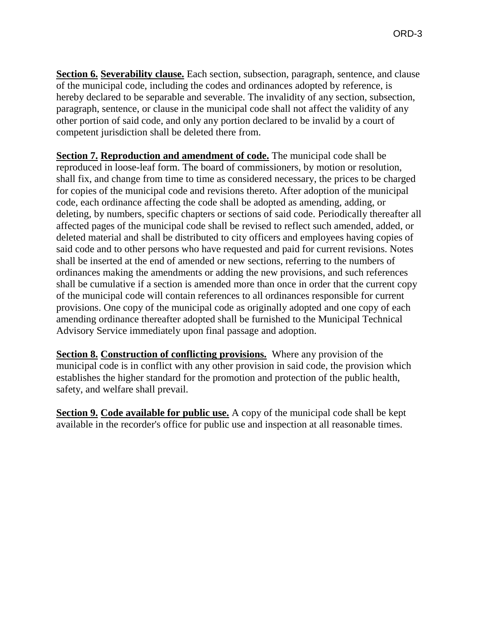**Section 6. Severability clause.** Each section, subsection, paragraph, sentence, and clause of the municipal code, including the codes and ordinances adopted by reference, is hereby declared to be separable and severable. The invalidity of any section, subsection, paragraph, sentence, or clause in the municipal code shall not affect the validity of any other portion of said code, and only any portion declared to be invalid by a court of competent jurisdiction shall be deleted there from.

**Section 7. Reproduction and amendment of code.** The municipal code shall be reproduced in loose-leaf form. The board of commissioners, by motion or resolution, shall fix, and change from time to time as considered necessary, the prices to be charged for copies of the municipal code and revisions thereto. After adoption of the municipal code, each ordinance affecting the code shall be adopted as amending, adding, or deleting, by numbers, specific chapters or sections of said code. Periodically thereafter all affected pages of the municipal code shall be revised to reflect such amended, added, or deleted material and shall be distributed to city officers and employees having copies of said code and to other persons who have requested and paid for current revisions. Notes shall be inserted at the end of amended or new sections, referring to the numbers of ordinances making the amendments or adding the new provisions, and such references shall be cumulative if a section is amended more than once in order that the current copy of the municipal code will contain references to all ordinances responsible for current provisions. One copy of the municipal code as originally adopted and one copy of each amending ordinance thereafter adopted shall be furnished to the Municipal Technical Advisory Service immediately upon final passage and adoption.

**Section 8. Construction of conflicting provisions.** Where any provision of the municipal code is in conflict with any other provision in said code, the provision which establishes the higher standard for the promotion and protection of the public health, safety, and welfare shall prevail.

**Section 9. Code available for public use.** A copy of the municipal code shall be kept available in the recorder's office for public use and inspection at all reasonable times.